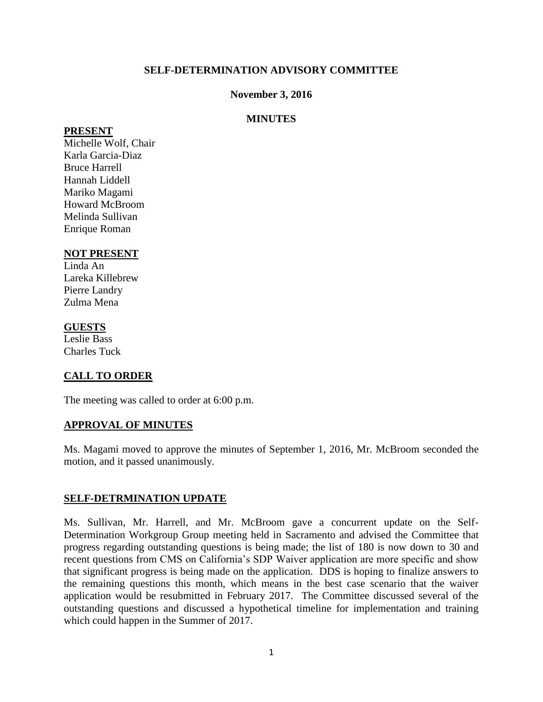### **SELF-DETERMINATION ADVISORY COMMITTEE**

### **November 3, 2016**

### **MINUTES**

#### **PRESENT**

Michelle Wolf, Chair Karla Garcia-Diaz Bruce Harrell Hannah Liddell Mariko Magami Howard McBroom Melinda Sullivan Enrique Roman

### **NOT PRESENT**

Linda An Lareka Killebrew Pierre Landry Zulma Mena

### **GUESTS**

Leslie Bass Charles Tuck

## **CALL TO ORDER**

The meeting was called to order at 6:00 p.m.

### **APPROVAL OF MINUTES**

Ms. Magami moved to approve the minutes of September 1, 2016, Mr. McBroom seconded the motion, and it passed unanimously.

### **SELF-DETRMINATION UPDATE**

Ms. Sullivan, Mr. Harrell, and Mr. McBroom gave a concurrent update on the Self-Determination Workgroup Group meeting held in Sacramento and advised the Committee that progress regarding outstanding questions is being made; the list of 180 is now down to 30 and recent questions from CMS on California's SDP Waiver application are more specific and show that significant progress is being made on the application. DDS is hoping to finalize answers to the remaining questions this month, which means in the best case scenario that the waiver application would be resubmitted in February 2017. The Committee discussed several of the outstanding questions and discussed a hypothetical timeline for implementation and training which could happen in the Summer of 2017.